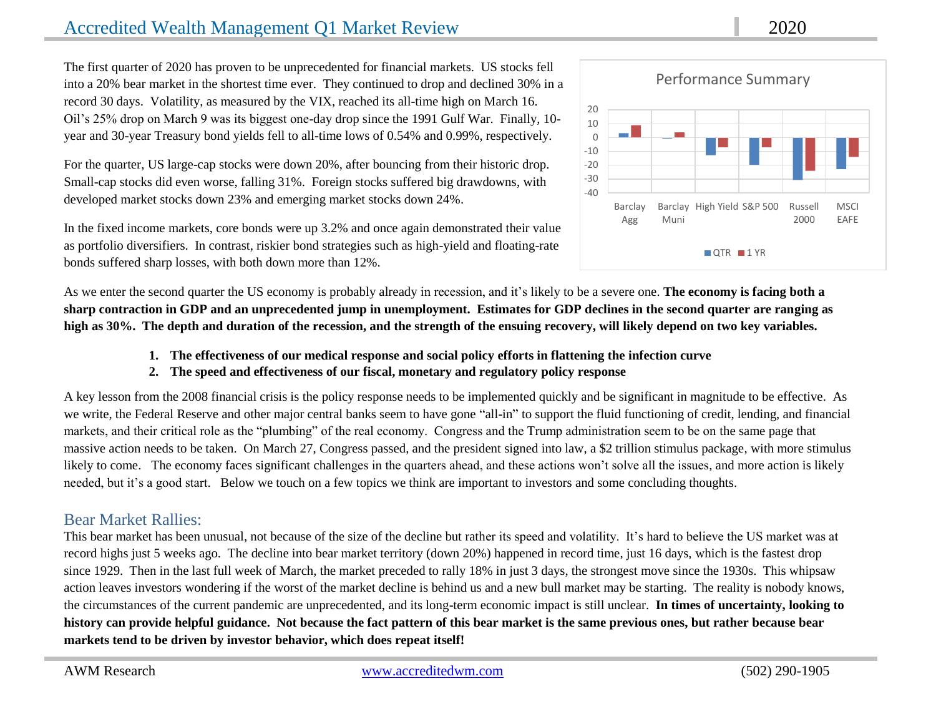## Accredited Wealth Management Q1 Market Review 2020

The first quarter of 2020 has proven to be unprecedented for financial markets. US stocks fell into a 20% bear market in the shortest time ever. They continued to drop and declined 30% in a record 30 days. Volatility, as measured by the VIX, reached its all-time high on March 16. Oil's 25% drop on March 9 was its biggest one-day drop since the 1991 Gulf War. Finally, 10 year and 30-year Treasury bond yields fell to all-time lows of 0.54% and 0.99%, respectively.

For the quarter, US large-cap stocks were down 20%, after bouncing from their historic drop. Small-cap stocks did even worse, falling 31%. Foreign stocks suffered big drawdowns, with developed market stocks down 23% and emerging market stocks down 24%.

In the fixed income markets, core bonds were up 3.2% and once again demonstrated their value as portfolio diversifiers. In contrast, riskier bond strategies such as high-yield and floating-rate bonds suffered sharp losses, with both down more than 12%.

As we enter the second quarter the US economy is probably already in recession, and it's likely to be a severe one. **The economy is facing both a sharp contraction in GDP and an unprecedented jump in unemployment. Estimates for GDP declines in the second quarter are ranging as high as 30%. The depth and duration of the recession, and the strength of the ensuing recovery, will likely depend on two key variables.**

- **1. The effectiveness of our medical response and social policy efforts in flattening the infection curve**
- **2. The speed and effectiveness of our fiscal, monetary and regulatory policy response**

A key lesson from the 2008 financial crisis is the policy response needs to be implemented quickly and be significant in magnitude to be effective. As we write, the Federal Reserve and other major central banks seem to have gone "all-in" to support the fluid functioning of credit, lending, and financial markets, and their critical role as the "plumbing" of the real economy. Congress and the Trump administration seem to be on the same page that massive action needs to be taken. On March 27, Congress passed, and the president signed into law, a \$2 trillion stimulus package, with more stimulus likely to come. The economy faces significant challenges in the quarters ahead, and these actions won't solve all the issues, and more action is likely needed, but it's a good start. Below we touch on a few topics we think are important to investors and some concluding thoughts.

## Bear Market Rallies:

This bear market has been unusual, not because of the size of the decline but rather its speed and volatility. It's hard to believe the US market was at record highs just 5 weeks ago. The decline into bear market territory (down 20%) happened in record time, just 16 days, which is the fastest drop since 1929. Then in the last full week of March, the market preceded to rally 18% in just 3 days, the strongest move since the 1930s. This whipsaw action leaves investors wondering if the worst of the market decline is behind us and a new bull market may be starting. The reality is nobody knows, the circumstances of the current pandemic are unprecedented, and its long-term economic impact is still unclear. **In times of uncertainty, looking to history can provide helpful guidance. Not because the fact pattern of this bear market is the same previous ones, but rather because bear markets tend to be driven by investor behavior, which does repeat itself!**

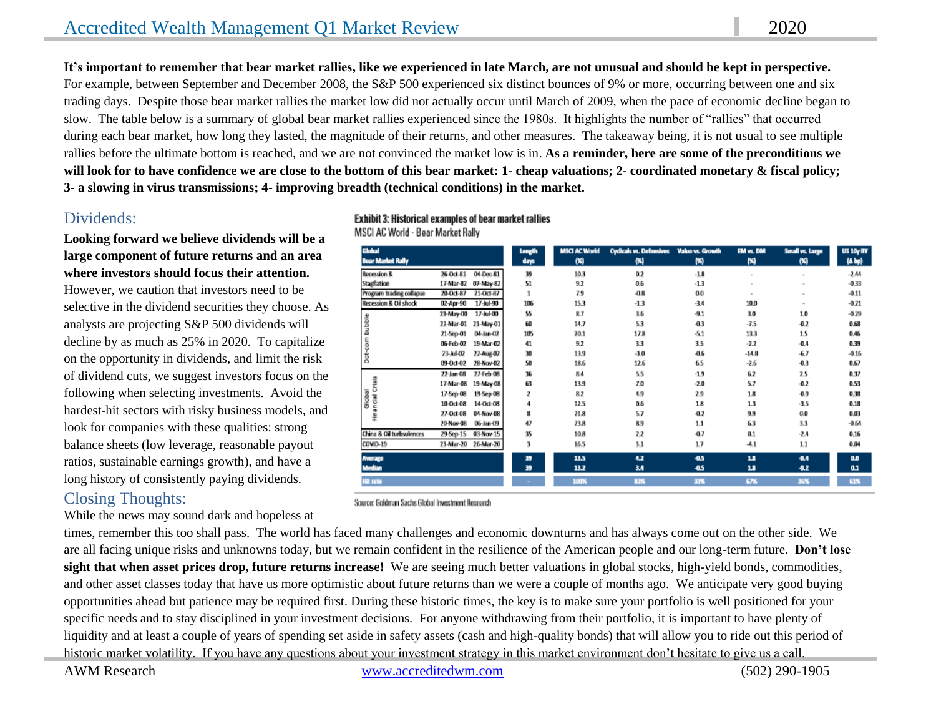# Accredited Wealth Management Q1 Market Review 2020

**It's important to remember that bear market rallies, like we experienced in late March, are not unusual and should be kept in perspective.** For example, between September and December 2008, the S&P 500 experienced six distinct bounces of 9% or more, occurring between one and six trading days. Despite those bear market rallies the market low did not actually occur until March of 2009, when the pace of economic decline began to slow. The table below is a summary of global bear market rallies experienced since the 1980s. It highlights the number of "rallies" that occurred during each bear market, how long they lasted, the magnitude of their returns, and other measures. The takeaway being, it is not usual to see multiple rallies before the ultimate bottom is reached, and we are not convinced the market low is in. **As a reminder, here are some of the preconditions we will look for to have confidence we are close to the bottom of this bear market: 1- cheap valuations; 2- coordinated monetary & fiscal policy; 3- a slowing in virus transmissions; 4- improving breadth (technical conditions) in the market.** 

### Dividends:

**Looking forward we believe dividends will be a large component of future returns and an area where investors should focus their attention.**

However, we caution that investors need to be selective in the dividend securities they choose. As analysts are projecting S&P 500 dividends will decline by as much as 25% in 2020. To capitalize on the opportunity in dividends, and limit the risk of dividend cuts, we suggest investors focus on the following when selecting investments. Avoid the hardest-hit sectors with risky business models, and look for companies with these qualities: strong balance sheets (low leverage, reasonable payout ratios, sustainable earnings growth), and have a long history of consistently paying dividends.

## Closing Thoughts:

While the news may sound dark and hopeless at

#### **Exhibit 3: Historical examples of bear market rallies**

MSCI AC World - Bear Market Rally

| Global<br><b>Bear Market Rally</b> |           |           | Length<br>days | <b>MSCI AC World</b><br>09 | <b>Cyclicals vs. Defensives</b><br>(%) | Value vs. Growth<br>(X) | <b>EM vs. DM</b><br>(35) | Small vs. Large<br>(%) | <b>US 10y BY</b><br>(A bp) |
|------------------------------------|-----------|-----------|----------------|----------------------------|----------------------------------------|-------------------------|--------------------------|------------------------|----------------------------|
| <b>Recession &amp;</b>             | 26-Oct-81 | 04-Dec-81 | 39             | 10.3                       | 0.2                                    | $-1.8$                  |                          | $\overline{a}$         | $-2.44$                    |
| <b>Stagflation</b>                 | 17-Mar-82 | 07-May-82 | 51             | 9.2                        | 0.6                                    | $-1.3$                  | $\mathbf{r}$             | ×                      | $-0.33$                    |
| Program trading collapse           | 20-Oct-87 | 21-Oct-87 |                | 7.9                        | $-0.8$                                 | 0.0                     | $\sim$                   |                        | $-0.11$                    |
| Recession & Oil shock              | 02-Apr-90 | 17-Jul-90 | 106            | 15.3                       | $-1.3$                                 | $-3.4$                  | 10.0                     |                        | $-0.21$                    |
|                                    | 23-May-00 | 17-Jul-00 | 55             | 8.7                        | 3.6                                    | $-9.1$                  | 3.0                      | 1.0                    | $-0.29$                    |
| bubble                             | 22-Mar-01 | 21-May-01 | 60             | 14.7                       | 5.3                                    | $-0.3$                  | $-7.5$                   | $-0.2$                 | 0.68                       |
|                                    | 21-Sep-01 | 04-Jan-02 | 105            | 20.1                       | 17.8                                   | $-5.1$                  | 13.3                     | 1.5                    | 0.46                       |
| Dat-com                            | 06-Feb-02 | 19-Mar-02 | 41             | 9.2                        | 33                                     | 3.5                     | $-2.2$                   | $-0.4$                 | 0.39                       |
|                                    | 23-Jul-02 | 22-Aug-02 | 30             | 13.9                       | $-3.0$                                 | $-0.6$                  | $-14.8$                  | $-6.7$                 | $-0.16$                    |
|                                    | 09-Oct-02 | 28-Nov-02 | 50             | 18.6                       | 12.6                                   | 6.5                     | $-2.6$                   | $-0.3$                 | 0.67                       |
|                                    | 22-Jan-08 | 27-Feb-08 | 36             | 8.4                        | 55                                     | $-1.9$                  | 6.2                      | 2.5                    | 0.37                       |
| <b>Signs</b>                       | 17-Mar-08 | 19-May-08 | 63             | 13.9                       | 7.0                                    | $-2.0$                  | 5.7                      | $-0.2$                 | 0.53                       |
| Global                             | 17-Sep-08 | 19-Sep-08 | 2              | 8.2                        | 4.9                                    | 2.9                     | 1.8                      | $-0.9$                 | 0.38                       |
| Financial                          | 10-Oct 08 | 14-Oct-08 | 4              | 12.5                       | 0.6                                    | 1.8                     | 1.3                      | $-3.5$                 | 0.18                       |
|                                    | 27-Oct-08 | 04-Nov-08 | 8              | 21.8                       | 5.7                                    | $-0.2$                  | 9.9                      | 0.0                    | 0.03                       |
|                                    | 20-Nov-08 | 06-Jan-09 | 47             | 23.8                       | 8.9                                    | 1.1                     | 6.3                      | 3.3                    | $-0.64$                    |
| China & Oil turbsulences           | 29-Sep-15 | 03-Nov-15 | 35             | 10.8                       | 2.2                                    | $-0.7$                  | 0.1                      | $-2.4$                 | 0.16                       |
| COVID-19                           | 23-Mar-20 | 26-Mar-20 | з              | 16.5                       | 3.1                                    | 1.7                     | $-4.1$                   | 1.1                    | 0.04                       |
| <b>Average</b>                     |           |           | 39             | 13.5                       | 4.2                                    | -0.5                    | 1.8                      | $-0.4$                 | 0.0                        |
| <b>Median</b>                      |           |           | 39             | 13.2                       | 3.4                                    | $-0.5$                  | 1.8                      | $-0.2$                 | 0.1                        |
| <b>Hit rate</b>                    |           |           |                | 100%                       | 83%                                    | 33%                     | 67%                      | 36%                    | 61%                        |

Source: Goldman Sachs Global Investment Research

times, remember this too shall pass. The world has faced many challenges and economic downturns and has always come out on the other side. We are all facing unique risks and unknowns today, but we remain confident in the resilience of the American people and our long-term future. **Don't lose sight that when asset prices drop, future returns increase!** We are seeing much better valuations in global stocks, high-yield bonds, commodities, and other asset classes today that have us more optimistic about future returns than we were a couple of months ago. We anticipate very good buying opportunities ahead but patience may be required first. During these historic times, the key is to make sure your portfolio is well positioned for your specific needs and to stay disciplined in your investment decisions. For anyone withdrawing from their portfolio, it is important to have plenty of liquidity and at least a couple of years of spending set aside in safety assets (cash and high-quality bonds) that will allow you to ride out this period of historic market volatility. If you have any questions about your investment strategy in this market environment don't hesitate to give us a call.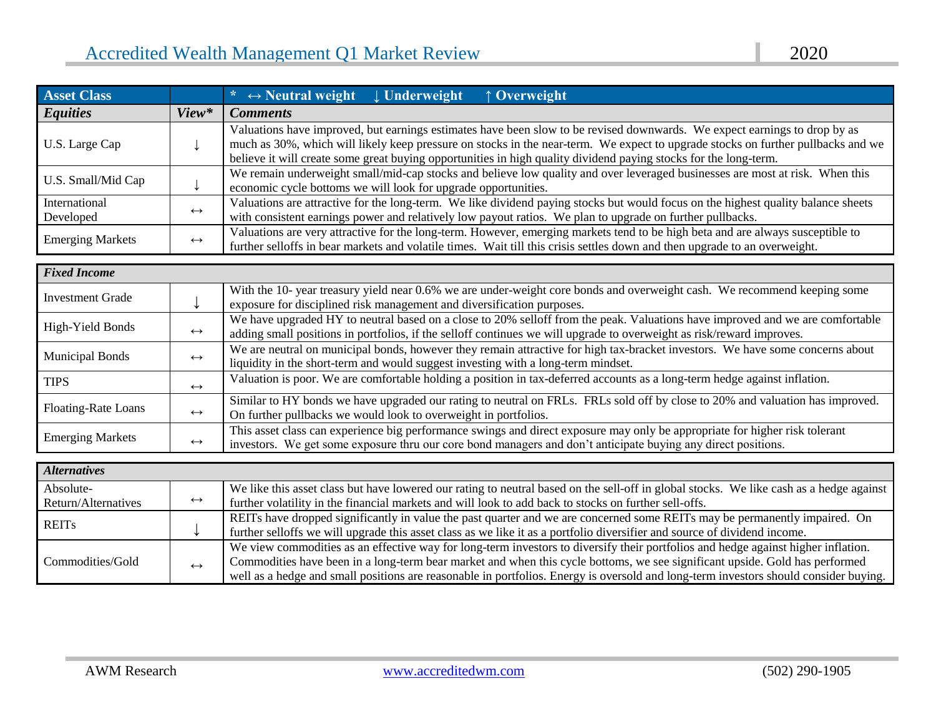| <b>Asset Class</b>         |                   | $\ast$ $\leftrightarrow$ Neutral weight Underweight<br>↑ Overweight                                                                                                                                                                                                                                                                                                               |
|----------------------------|-------------------|-----------------------------------------------------------------------------------------------------------------------------------------------------------------------------------------------------------------------------------------------------------------------------------------------------------------------------------------------------------------------------------|
| <b>Equities</b>            | View*             | <b>Comments</b>                                                                                                                                                                                                                                                                                                                                                                   |
| U.S. Large Cap             |                   | Valuations have improved, but earnings estimates have been slow to be revised downwards. We expect earnings to drop by as<br>much as 30%, which will likely keep pressure on stocks in the near-term. We expect to upgrade stocks on further pullbacks and we<br>believe it will create some great buying opportunities in high quality dividend paying stocks for the long-term. |
| U.S. Small/Mid Cap         |                   | We remain underweight small/mid-cap stocks and believe low quality and over leveraged businesses are most at risk. When this<br>economic cycle bottoms we will look for upgrade opportunities.                                                                                                                                                                                    |
| International<br>Developed | $\leftrightarrow$ | Valuations are attractive for the long-term. We like dividend paying stocks but would focus on the highest quality balance sheets<br>with consistent earnings power and relatively low payout ratios. We plan to upgrade on further pullbacks.                                                                                                                                    |
| <b>Emerging Markets</b>    | $\leftrightarrow$ | Valuations are very attractive for the long-term. However, emerging markets tend to be high beta and are always susceptible to<br>further selloffs in bear markets and volatile times. Wait till this crisis settles down and then upgrade to an overweight.                                                                                                                      |
| $\mathbf{r}$               |                   |                                                                                                                                                                                                                                                                                                                                                                                   |

| <b>Fixed Income</b>     |                   |                                                                                                                                                                                                                                                        |
|-------------------------|-------------------|--------------------------------------------------------------------------------------------------------------------------------------------------------------------------------------------------------------------------------------------------------|
| <b>Investment Grade</b> |                   | With the 10- year treasury yield near 0.6% we are under-weight core bonds and overweight cash. We recommend keeping some<br>exposure for disciplined risk management and diversification purposes.                                                     |
| High-Yield Bonds        | $\leftrightarrow$ | We have upgraded HY to neutral based on a close to 20% selloff from the peak. Valuations have improved and we are comfortable<br>adding small positions in portfolios, if the selloff continues we will upgrade to overweight as risk/reward improves. |
| <b>Municipal Bonds</b>  | $\leftrightarrow$ | We are neutral on municipal bonds, however they remain attractive for high tax-bracket investors. We have some concerns about<br>liquidity in the short-term and would suggest investing with a long-term mindset.                                     |
| <b>TIPS</b>             | $\leftrightarrow$ | Valuation is poor. We are comfortable holding a position in tax-deferred accounts as a long-term hedge against inflation.                                                                                                                              |
| Floating-Rate Loans     | $\leftrightarrow$ | Similar to HY bonds we have upgraded our rating to neutral on FRLs. FRLs sold off by close to 20% and valuation has improved.<br>On further pullbacks we would look to overweight in portfolios.                                                       |
| <b>Emerging Markets</b> | $\leftrightarrow$ | This asset class can experience big performance swings and direct exposure may only be appropriate for higher risk tolerant<br>investors. We get some exposure thru our core bond managers and don't anticipate buying any direct positions.           |

| <b>Alternatives</b> |                   |                                                                                                                                         |
|---------------------|-------------------|-----------------------------------------------------------------------------------------------------------------------------------------|
| Absolute-           |                   | We like this asset class but have lowered our rating to neutral based on the sell-off in global stocks. We like cash as a hedge against |
| Return/Alternatives | $\leftrightarrow$ | further volatility in the financial markets and will look to add back to stocks on further sell-offs.                                   |
| <b>REITs</b>        |                   | REITs have dropped significantly in value the past quarter and we are concerned some REITs may be permanently impaired. On              |
|                     |                   | further selloffs we will upgrade this asset class as we like it as a portfolio diversifier and source of dividend income.               |
|                     |                   | We view commodities as an effective way for long-term investors to diversify their portfolios and hedge against higher inflation.       |
| Commodities/Gold    | $\leftrightarrow$ | Commodities have been in a long-term bear market and when this cycle bottoms, we see significant upside. Gold has performed             |
|                     |                   | well as a hedge and small positions are reasonable in portfolios. Energy is oversold and long-term investors should consider buying.    |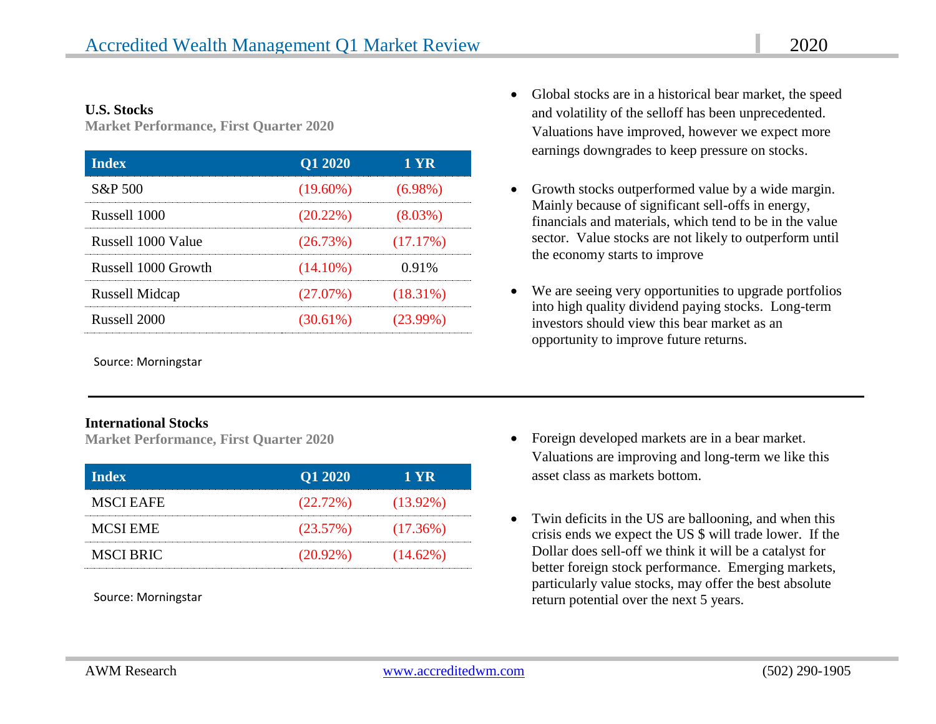#### **U.S. Stocks**

**Market Performance, First Quarter 2020**

| <b>Index</b>          | Q1 2020     | 1 YR        |
|-----------------------|-------------|-------------|
| S&P 500               | $(19.60\%)$ | $(6.98\%)$  |
| Russell 1000          | $(20.22\%)$ | $(8.03\%)$  |
| Russell 1000 Value    | (26.73%)    | (17.17%)    |
| Russell 1000 Growth   | $(14.10\%)$ | 0.91%       |
| <b>Russell Midcap</b> | (27.07%)    | $(18.31\%)$ |
| Russell 2000          | $(30.61\%)$ | $(23.99\%)$ |

Source: Morningstar

#### **International Stocks**

**Market Performance, First Quarter 2020**

| <b>Index</b>     | Q1 2020     | 1 YR        |
|------------------|-------------|-------------|
| <b>MSCI EAFE</b> | (22.72%)    | $(13.92\%)$ |
| <b>MCSI EME</b>  | (23.57%)    | (17.36%)    |
| <b>MSCI BRIC</b> | $(20.92\%)$ | $(14.62\%)$ |

- Global stocks are in a historical bear market, the speed and volatility of the selloff has been unprecedented. Valuations have improved, however we expect more earnings downgrades to keep pressure on stocks.
- Growth stocks outperformed value by a wide margin. Mainly because of significant sell-offs in energy, financials and materials, which tend to be in the value sector. Value stocks are not likely to outperform until the economy starts to improve
- We are seeing very opportunities to upgrade portfolios into high quality dividend paying stocks. Long-term investors should view this bear market as an opportunity to improve future returns.

- Foreign developed markets are in a bear market. Valuations are improving and long-term we like this asset class as markets bottom.
- Twin deficits in the US are ballooning, and when this crisis ends we expect the US \$ will trade lower. If the Dollar does sell-off we think it will be a catalyst for better foreign stock performance. Emerging markets, particularly value stocks, may offer the best absolute Source: Morningstar Source: Morningstar Source: Morningstar Source: Morningstar Source: Morningstar Source: Source: Source: Source: Source: Source: Source: Source: Source: Source: Source: Source: Source: Source: Source: So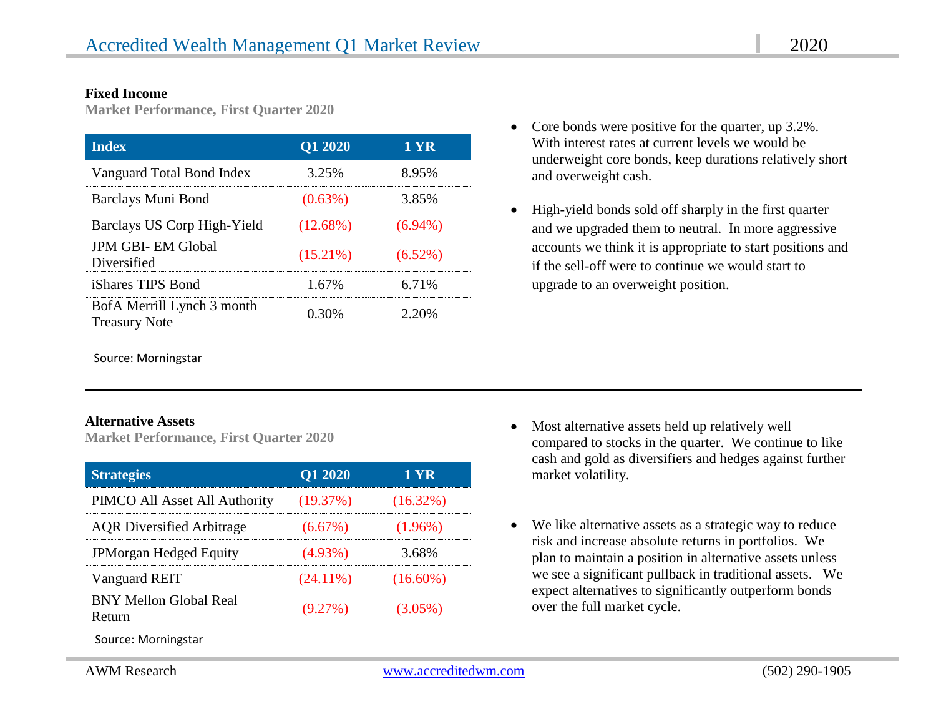#### **Fixed Income**

**Market Performance, First Quarter 2020**

| <b>Index</b>                                       | Q1 2020     | 1 YR       |
|----------------------------------------------------|-------------|------------|
| Vanguard Total Bond Index                          | 3.25%       | 8.95%      |
| Barclays Muni Bond                                 | $(0.63\%)$  | 3.85%      |
| Barclays US Corp High-Yield                        | $(12.68\%)$ | $(6.94\%)$ |
| <b>JPM GBI-EM Global</b><br>Diversified            | $(15.21\%)$ | $(6.52\%)$ |
| iShares TIPS Bond                                  | 1.67%       | 6.71%      |
| BofA Merrill Lynch 3 month<br><b>Treasury Note</b> | $0.30\%$    | 2.20%      |

Source: Morningstar

#### **Alternative Assets**

**Market Performance, First Quarter 2020**

| <b>Strategies</b>                       | Q1 2020     | 1 YR        |
|-----------------------------------------|-------------|-------------|
| PIMCO All Asset All Authority           | (19.37%)    | $(16.32\%)$ |
| <b>AQR</b> Diversified Arbitrage        | $(6.67\%)$  | $(1.96\%)$  |
| JPMorgan Hedged Equity                  | $(4.93\%)$  | 3.68%       |
| Vanguard REIT                           | $(24.11\%)$ | $(16.60\%)$ |
| <b>BNY Mellon Global Real</b><br>Return | $(9.27\%)$  | $(3.05\%)$  |

Source: Morningstar

- Core bonds were positive for the quarter, up 3.2%. With interest rates at current levels we would be underweight core bonds, keep durations relatively short and overweight cash.
- High-yield bonds sold off sharply in the first quarter and we upgraded them to neutral. In more aggressive accounts we think it is appropriate to start positions and if the sell-off were to continue we would start to upgrade to an overweight position.

- Most alternative assets held up relatively well compared to stocks in the quarter. We continue to like cash and gold as diversifiers and hedges against further market volatility.
- We like alternative assets as a strategic way to reduce risk and increase absolute returns in portfolios. We plan to maintain a position in alternative assets unless we see a significant pullback in traditional assets. We expect alternatives to significantly outperform bonds over the full market cycle.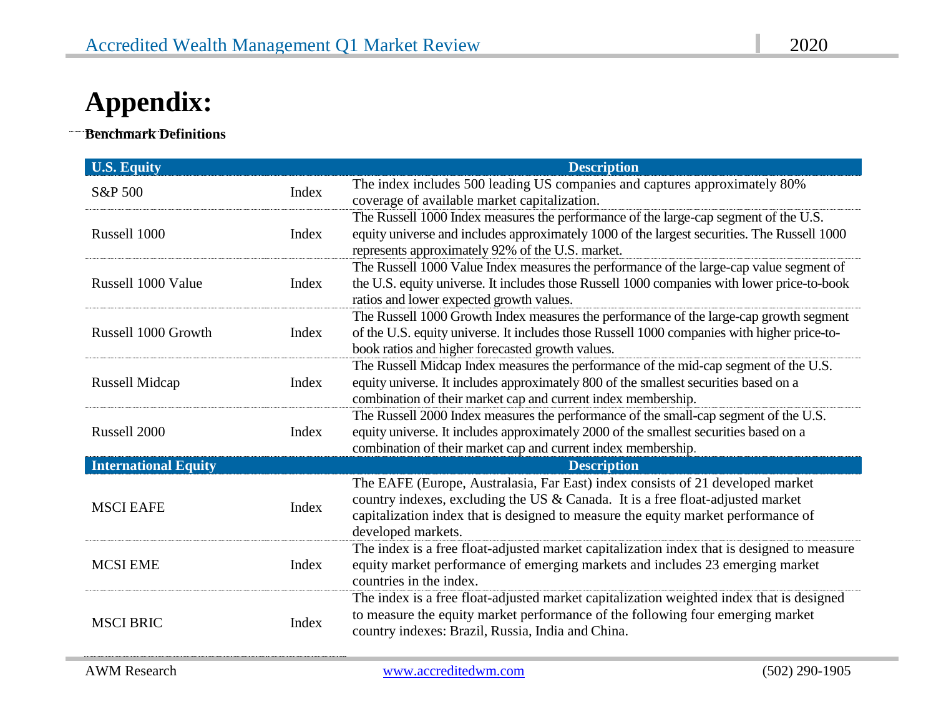# **Appendix:**

**Benchmark Definitions**

 $\ddot{\phantom{0}}$ 

| <b>U.S. Equity</b>          |       | <b>Description</b>                                                                                                                                                                                                                                                          |
|-----------------------------|-------|-----------------------------------------------------------------------------------------------------------------------------------------------------------------------------------------------------------------------------------------------------------------------------|
| S&P 500                     | Index | The index includes 500 leading US companies and captures approximately 80%<br>coverage of available market capitalization.                                                                                                                                                  |
| Russell 1000                | Index | The Russell 1000 Index measures the performance of the large-cap segment of the U.S.<br>equity universe and includes approximately 1000 of the largest securities. The Russell 1000<br>represents approximately 92% of the U.S. market.                                     |
| Russell 1000 Value          | Index | The Russell 1000 Value Index measures the performance of the large-cap value segment of<br>the U.S. equity universe. It includes those Russell 1000 companies with lower price-to-book<br>ratios and lower expected growth values.                                          |
| Russell 1000 Growth         | Index | The Russell 1000 Growth Index measures the performance of the large-cap growth segment<br>of the U.S. equity universe. It includes those Russell 1000 companies with higher price-to-<br>book ratios and higher forecasted growth values.                                   |
| Russell Midcap              | Index | The Russell Midcap Index measures the performance of the mid-cap segment of the U.S.<br>equity universe. It includes approximately 800 of the smallest securities based on a<br>combination of their market cap and current index membership.                               |
| Russell 2000                | Index | The Russell 2000 Index measures the performance of the small-cap segment of the U.S.<br>equity universe. It includes approximately 2000 of the smallest securities based on a<br>combination of their market cap and current index membership.                              |
| <b>International Equity</b> |       | <b>Description</b>                                                                                                                                                                                                                                                          |
| <b>MSCI EAFE</b>            | Index | The EAFE (Europe, Australasia, Far East) index consists of 21 developed market<br>country indexes, excluding the US & Canada. It is a free float-adjusted market<br>capitalization index that is designed to measure the equity market performance of<br>developed markets. |
| <b>MCSI EME</b>             | Index | The index is a free float-adjusted market capitalization index that is designed to measure<br>equity market performance of emerging markets and includes 23 emerging market<br>countries in the index.                                                                      |
| <b>MSCI BRIC</b>            | Index | The index is a free float-adjusted market capitalization weighted index that is designed<br>to measure the equity market performance of the following four emerging market<br>country indexes: Brazil, Russia, India and China.                                             |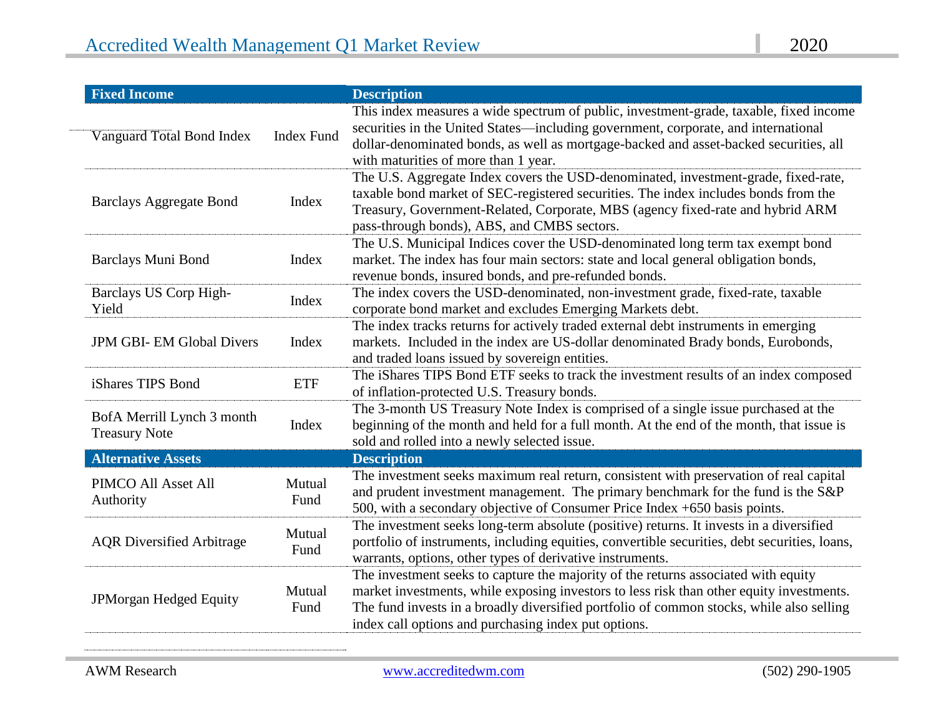| <b>Fixed Income</b>                                |                   | <b>Description</b>                                                                                                                                                                                                                                                                                                                 |
|----------------------------------------------------|-------------------|------------------------------------------------------------------------------------------------------------------------------------------------------------------------------------------------------------------------------------------------------------------------------------------------------------------------------------|
| Vanguard Total Bond Index                          | <b>Index Fund</b> | This index measures a wide spectrum of public, investment-grade, taxable, fixed income<br>securities in the United States-including government, corporate, and international<br>dollar-denominated bonds, as well as mortgage-backed and asset-backed securities, all<br>with maturities of more than 1 year.                      |
| <b>Barclays Aggregate Bond</b>                     | Index             | The U.S. Aggregate Index covers the USD-denominated, investment-grade, fixed-rate,<br>taxable bond market of SEC-registered securities. The index includes bonds from the<br>Treasury, Government-Related, Corporate, MBS (agency fixed-rate and hybrid ARM<br>pass-through bonds), ABS, and CMBS sectors.                         |
| Barclays Muni Bond                                 | Index             | The U.S. Municipal Indices cover the USD-denominated long term tax exempt bond<br>market. The index has four main sectors: state and local general obligation bonds,<br>revenue bonds, insured bonds, and pre-refunded bonds.                                                                                                      |
| Barclays US Corp High-<br>Yield                    | Index             | The index covers the USD-denominated, non-investment grade, fixed-rate, taxable<br>corporate bond market and excludes Emerging Markets debt.                                                                                                                                                                                       |
| <b>JPM GBI- EM Global Divers</b>                   | Index             | The index tracks returns for actively traded external debt instruments in emerging<br>markets. Included in the index are US-dollar denominated Brady bonds, Eurobonds,<br>and traded loans issued by sovereign entities.                                                                                                           |
| iShares TIPS Bond                                  | <b>ETF</b>        | The iShares TIPS Bond ETF seeks to track the investment results of an index composed<br>of inflation-protected U.S. Treasury bonds.                                                                                                                                                                                                |
| BofA Merrill Lynch 3 month<br><b>Treasury Note</b> | Index             | The 3-month US Treasury Note Index is comprised of a single issue purchased at the<br>beginning of the month and held for a full month. At the end of the month, that issue is<br>sold and rolled into a newly selected issue.                                                                                                     |
| <b>Alternative Assets</b>                          |                   | <b>Description</b>                                                                                                                                                                                                                                                                                                                 |
| PIMCO All Asset All<br>Authority                   | Mutual<br>Fund    | The investment seeks maximum real return, consistent with preservation of real capital<br>and prudent investment management. The primary benchmark for the fund is the S&P<br>500, with a secondary objective of Consumer Price Index +650 basis points.                                                                           |
| <b>AQR</b> Diversified Arbitrage                   | Mutual<br>Fund    | The investment seeks long-term absolute (positive) returns. It invests in a diversified<br>portfolio of instruments, including equities, convertible securities, debt securities, loans,<br>warrants, options, other types of derivative instruments.                                                                              |
| <b>JPMorgan Hedged Equity</b>                      | Mutual<br>Fund    | The investment seeks to capture the majority of the returns associated with equity<br>market investments, while exposing investors to less risk than other equity investments.<br>The fund invests in a broadly diversified portfolio of common stocks, while also selling<br>index call options and purchasing index put options. |